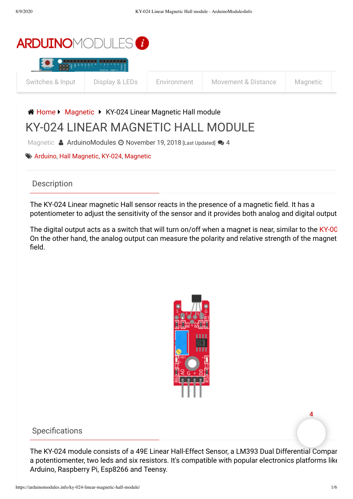

### A [Home](https://arduinomodules.info/) ▶ [Magnetic](https://arduinomodules.info/category/magnetic/) ▶ KY-024 Linear Magnetic Hall module

# KY-024 LINEAR MAGNETIC HALL MODULE

[Magnetic](https://arduinomodules.info/category/magnetic/) & [ArduinoModules](https://arduinomodules.info/author/hugogiusti/)  $\odot$  November 19, 2018 [Last Updated]  $\odot$  4

#### [Arduino](https://arduinomodules.info/tag/arduino/), Hall [Magnetic,](https://arduinomodules.info/tag/hall-magnetic/) [KY-024,](https://arduinomodules.info/tag/ky-024/) [Magnetic](https://arduinomodules.info/tag/magnetic/)

#### **Description**

The KY-024 Linear magnetic Hall sensor reacts in the presence of a magnetic field. It has a potentiometer to adjust the sensitivity of the sensor and it provides both analog and digital output

The digital output acts as a switch that will turn on/off when a magnet is near, similar to the [KY-00](https://arduinomodules.info/ky-003-hall-magnetic-sensor-module/) On the other hand, the analog output can measure the polarity and relative strength of the magnet field.



#### Specifications

The KY-024 module consists of a 49E Linear Hall-Effect Sensor, a LM393 Dual Differential Compar a potentiomenter, two leds and six resistors. It's compatible with popular electronics platforms like Arduino, Raspberry Pi, Esp8266 and Teensy.

**4**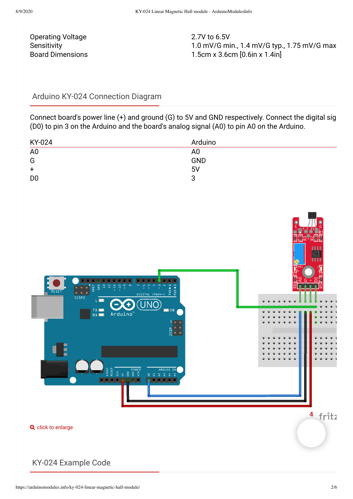Operating Voltage 2.7V to 6.5V

Sensitivity Sensitivity 1.0 mV/G min., 1.4 mV/G typ., 1.75 mV/G max Board Dimensions 1.5cm x 3.6cm [0.6in x 1.4in]

#### Arduino KY-024 Connection Diagram

Connect board's power line (+) and ground (G) to 5V and GND respectively. Connect the digital sig (D0) to pin 3 on the Arduino and the board's analog signal (A0) to pin A0 on the Arduino.

| KY-024         | Arduino        |
|----------------|----------------|
| A <sub>0</sub> | A <sub>0</sub> |
| G              | GND            |
| $\ddot{}$      | 5V             |
| D <sub>0</sub> | 3              |
|                |                |



**Q** click to enlarge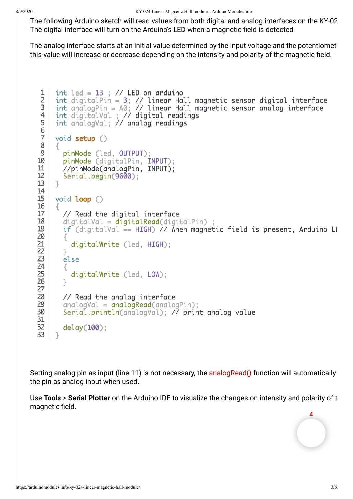The following Arduino sketch will read values from both digital and analog interfaces on the KY-02 The digital interface will turn on the Arduino's LED when a magnetic field is detected.

The analog interface starts at an initial value determined by the input voltage and the potentiomet this value will increase or decrease depending on the intensity and polarity of the magnetic field.

```
int led = 13 ; // LED on arduino
     int digitalPin = 3: // linear Hall magnetic sensor digital interface
     int analogPin = A0; // linear Hall magnetic sensor analog interface
     int digitalVal ; // digital readings
     int analogVal; // analog readings
     void setup ()
     \mathcal{F}_{\mathcal{L}} pinMode (led, OUTPUT);
        pinMode (digitalPin, INPUT);
        //pinMode(analogPin, INPUT); 
        Serial.begin(9600);
     }
     void loop ()
     {
        // Read the digital interface
       digital = digitalRead(digitalPin) ;
       if (digitalVal = HIGH) // When magnetic field is present, Arduino LI
       \mathcal{F}_{\mathcal{L}} digitalWrite (led, HIGH);
        }
        else
        {
          digitalWrite (led, LOW);
        }
        // Read the analog interface
       analogVal = analogRead(analogPin); Serial.println(analogVal); // print analog value
        delay(100);
     }
1
 2
 3
4
 5
6
7
8
9
10
11
12
13
14
15
16
17
18
19
20
21
22
23
24
25
26
27
28
29
30
31
32
33
```
Setting analog pin as input (line 11) is not necessary, the [analogRead\(\)](https://www.arduino.cc/reference/en/language/functions/analog-io/analogread/) function will automatically the pin as analog input when used.

Use **Tools** > **Serial Plotter** on the Arduino IDE to visualize the changes on intensity and polarity of t magnetic field.